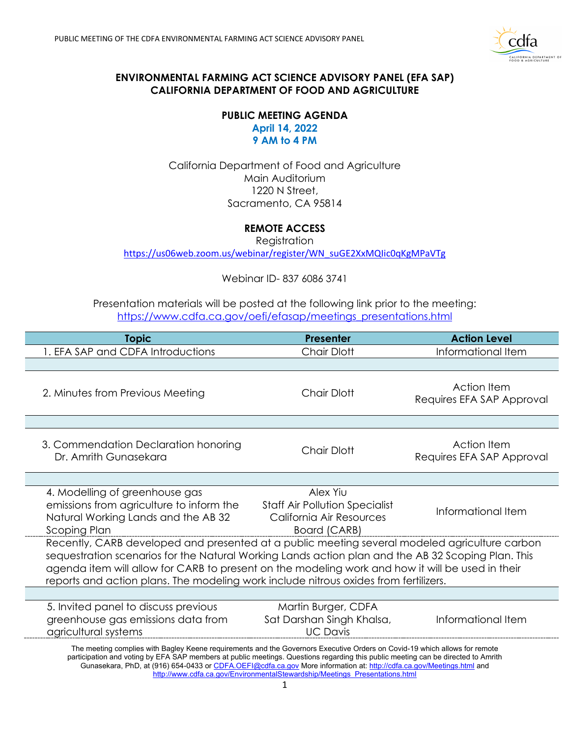

## **ENVIRONMENTAL FARMING ACT SCIENCE ADVISORY PANEL (EFA SAP) CALIFORNIA DEPARTMENT OF FOOD AND AGRICULTURE**

## **PUBLIC MEETING AGENDA 9 AM to 4 PM April 14, 2022**

California Department of Food and Agriculture Main Auditorium 1220 N Street, Sacramento, CA 95814

## **REMOTE ACCESS**

Registration

[https://us06web.zoom.us/webinar/register/WN\\_suGE2XxMQIic0qKgMPaVTg](https://us06web.zoom.us/webinar/register/WN_suGE2XxMQIic0qKgMPaVTg) 

Webinar ID- 837 6086 3741

Presentation materials will be posted at the following link prior to the meeting: https://www.cdfa.ca.gov/oefi/efasap/meetings\_presentations.html

| <b>Topic</b>                                                                                                                                                                                                                                                                                                                                                                                    | <b>Presenter</b>                                                                              | <b>Action Level</b>                             |  |
|-------------------------------------------------------------------------------------------------------------------------------------------------------------------------------------------------------------------------------------------------------------------------------------------------------------------------------------------------------------------------------------------------|-----------------------------------------------------------------------------------------------|-------------------------------------------------|--|
| 1. EFA SAP and CDFA Introductions                                                                                                                                                                                                                                                                                                                                                               | <b>Chair Dlott</b>                                                                            | Informational Item                              |  |
|                                                                                                                                                                                                                                                                                                                                                                                                 |                                                                                               |                                                 |  |
| 2. Minutes from Previous Meeting                                                                                                                                                                                                                                                                                                                                                                | Chair Dlott                                                                                   | Action Item<br>Requires EFA SAP Approval        |  |
| 3. Commendation Declaration honoring<br>Dr. Amrith Gunasekara                                                                                                                                                                                                                                                                                                                                   | Chair Dlott                                                                                   | <b>Action Item</b><br>Requires EFA SAP Approval |  |
| 4. Modelling of greenhouse gas<br>emissions from agriculture to inform the<br>Natural Working Lands and the AB 32<br>Scoping Plan                                                                                                                                                                                                                                                               | Alex Yiu<br><b>Staff Air Pollution Specialist</b><br>California Air Resources<br>Board (CARB) | Informational Item                              |  |
| Recently, CARB developed and presented at a public meeting several modeled agriculture carbon<br>sequestration scenarios for the Natural Working Lands action plan and the AB 32 Scoping Plan. This<br>agenda item will allow for CARB to present on the modeling work and how it will be used in their<br>reports and action plans. The modeling work include nitrous oxides from fertilizers. |                                                                                               |                                                 |  |
| 5. Invited panel to discuss previous<br>greenhouse gas emissions data from<br>agricultural systems                                                                                                                                                                                                                                                                                              | Martin Burger, CDFA<br>Sat Darshan Singh Khalsa,<br><b>UC Davis</b>                           | Informational Item                              |  |
| The meeting complies with Bagley Keene requirements and the Governors Executive Orders on Covid-19 which allows for remote<br>participation and voting by EFA SAP members at public meetings. Questions regarding this public meeting can be directed to Amrith<br>Gunasekara, PhD, at (916) 654-0433 or CDFA.OEFI@cdfa.ca.gov More information at: http://cdfa.ca.gov/Meetings.html and        | http://www.cdfa.ca.gov/EnvironmentalStewardship/Meetings Presentations.html                   |                                                 |  |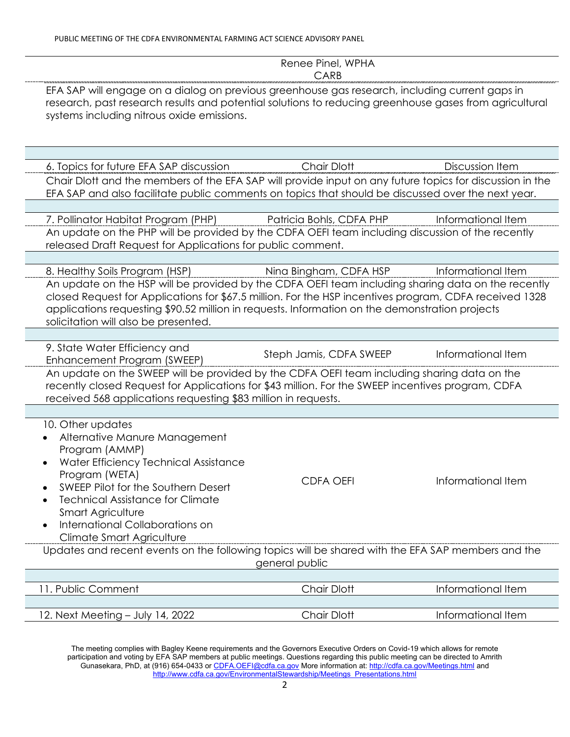|                                                                                                                                                                                                                                                                                                                                                        | Renee Pinel, WPHA<br>CARB |                    |  |  |
|--------------------------------------------------------------------------------------------------------------------------------------------------------------------------------------------------------------------------------------------------------------------------------------------------------------------------------------------------------|---------------------------|--------------------|--|--|
| EFA SAP will engage on a dialog on previous greenhouse gas research, including current gaps in<br>research, past research results and potential solutions to reducing greenhouse gases from agricultural<br>systems including nitrous oxide emissions.                                                                                                 |                           |                    |  |  |
|                                                                                                                                                                                                                                                                                                                                                        |                           |                    |  |  |
| 6. Topics for future EFA SAP discussion<br>Chair Dlott and the members of the EFA SAP will provide input on any future topics for discussion in the<br>EFA SAP and also facilitate public comments on topics that should be discussed over the next year.                                                                                              | <b>Chair Dlott</b>        | Discussion Item    |  |  |
| 7. Pollinator Habitat Program (PHP)                                                                                                                                                                                                                                                                                                                    | Patricia Bohls, CDFA PHP  | Informational Item |  |  |
| An update on the PHP will be provided by the CDFA OEFI team including discussion of the recently<br>released Draft Request for Applications for public comment.                                                                                                                                                                                        |                           |                    |  |  |
| 8. Healthy Soils Program (HSP)                                                                                                                                                                                                                                                                                                                         | Nina Bingham, CDFA HSP    | Informational Item |  |  |
| An update on the HSP will be provided by the CDFA OEFI team including sharing data on the recently<br>closed Request for Applications for \$67.5 million. For the HSP incentives program, CDFA received 1328<br>applications requesting \$90.52 million in requests. Information on the demonstration projects<br>solicitation will also be presented. |                           |                    |  |  |
| 9. State Water Efficiency and<br>Enhancement Program (SWEEP)                                                                                                                                                                                                                                                                                           | Steph Jamis, CDFA SWEEP   | Informational Item |  |  |
| An update on the SWEEP will be provided by the CDFA OEFI team including sharing data on the<br>recently closed Request for Applications for \$43 million. For the SWEEP incentives program, CDFA<br>received 568 applications requesting \$83 million in requests.                                                                                     |                           |                    |  |  |
|                                                                                                                                                                                                                                                                                                                                                        |                           |                    |  |  |
| 10. Other updates<br>Alternative Manure Management<br>Program (AMMP)<br>Water Efficiency Technical Assistance<br>Program (WETA)<br>SWEEP Pilot for the Southern Desert<br><b>Technical Assistance for Climate</b><br><b>Smart Agriculture</b><br>International Collaborations on<br>Climate Smart Agriculture                                          | <b>CDFA OEFI</b>          | Informational Item |  |  |
| Updates and recent events on the following topics will be shared with the EFA SAP members and the<br>general public                                                                                                                                                                                                                                    |                           |                    |  |  |
| 11. Public Comment                                                                                                                                                                                                                                                                                                                                     | Chair Dlott               | Informational Item |  |  |
| 12. Next Meeting - July 14, 2022                                                                                                                                                                                                                                                                                                                       | <b>Chair Dlott</b>        | Informational Item |  |  |

The meeting complies with Bagley Keene requirements and the Governors Executive Orders on Covid-19 which allows for remote participation and voting by EFA SAP members at public meetings. Questions regarding this public meeting can be directed to Amrith Gunasekara, PhD, at (916) 654-0433 or <u>CDFA.OEFI@cdfa.ca.gov</u> More information at: <u>http://cdfa.ca.gov/Meetings.html</u> and [http://www.cdfa.ca.gov/EnvironmentalStewardship/Meetings\\_Presentations.html](http://www.cdfa.ca.gov/EnvironmentalStewardship/Meetings_Presentations.html)